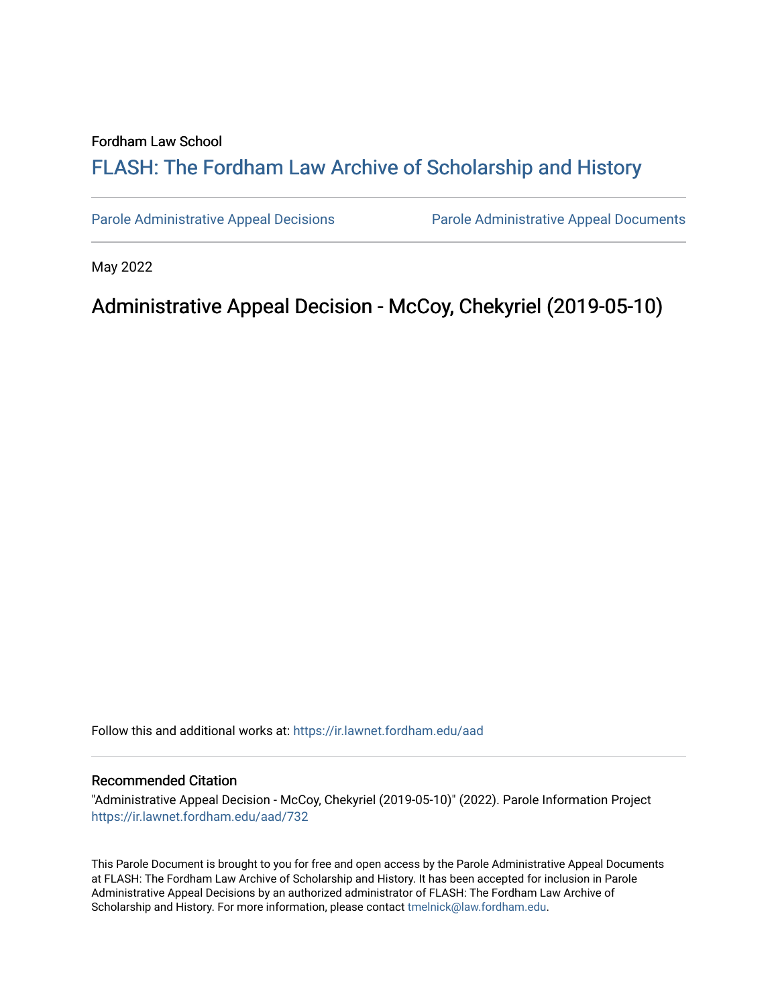#### Fordham Law School

# FLASH: The For[dham Law Archive of Scholarship and Hist](https://ir.lawnet.fordham.edu/)ory

[Parole Administrative Appeal Decisions](https://ir.lawnet.fordham.edu/aad) [Parole Administrative Appeal Documents](https://ir.lawnet.fordham.edu/ad_app_docs) 

May 2022

# Administrative Appeal Decision - McCoy, Chekyriel (2019-05-10)

Follow this and additional works at: [https://ir.lawnet.fordham.edu/aad](https://ir.lawnet.fordham.edu/aad?utm_source=ir.lawnet.fordham.edu%2Faad%2F732&utm_medium=PDF&utm_campaign=PDFCoverPages) 

#### Recommended Citation

"Administrative Appeal Decision - McCoy, Chekyriel (2019-05-10)" (2022). Parole Information Project [https://ir.lawnet.fordham.edu/aad/732](https://ir.lawnet.fordham.edu/aad/732?utm_source=ir.lawnet.fordham.edu%2Faad%2F732&utm_medium=PDF&utm_campaign=PDFCoverPages) 

This Parole Document is brought to you for free and open access by the Parole Administrative Appeal Documents at FLASH: The Fordham Law Archive of Scholarship and History. It has been accepted for inclusion in Parole Administrative Appeal Decisions by an authorized administrator of FLASH: The Fordham Law Archive of Scholarship and History. For more information, please contact [tmelnick@law.fordham.edu](mailto:tmelnick@law.fordham.edu).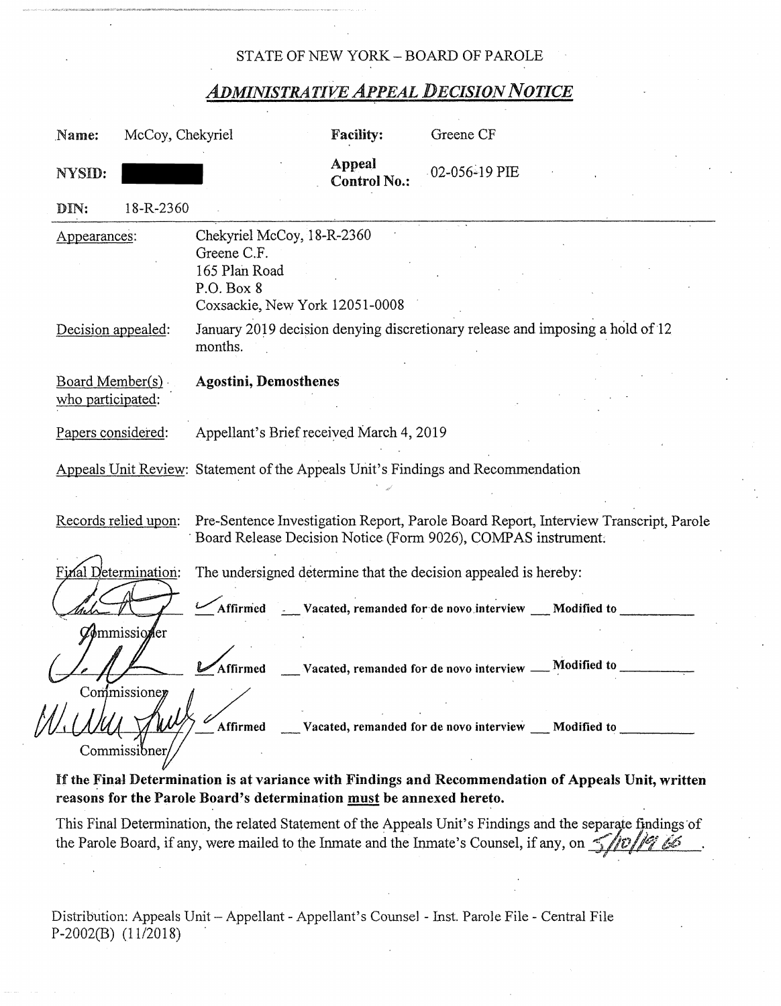### STATE OF NEW YORK - BOARD OF PAROLE

## *ADMINISTRATIVE APPEAL DECISION NOTICE*

| Name:                                 | McCoy, Chekyriel           |                                                                                                            | <b>Facility:</b>              | Greene CF                                                            |                                                                                      |
|---------------------------------------|----------------------------|------------------------------------------------------------------------------------------------------------|-------------------------------|----------------------------------------------------------------------|--------------------------------------------------------------------------------------|
| NYSID:                                |                            |                                                                                                            | Appeal<br><b>Control No.:</b> | $-02 - 056 - 19$ PIE                                                 |                                                                                      |
| DIN:                                  | 18-R-2360                  |                                                                                                            |                               |                                                                      |                                                                                      |
| Appearances:                          |                            | Chekyriel McCoy, 18-R-2360<br>Greene C.F.<br>165 Plan Road<br>P.O. Box 8<br>Coxsackie, New York 12051-0008 |                               |                                                                      |                                                                                      |
| Decision appealed:                    |                            | months.                                                                                                    |                               |                                                                      | January 2019 decision denying discretionary release and imposing a hold of 12        |
| Board Member(s).<br>who participated: |                            | <b>Agostini, Demosthenes</b>                                                                               |                               |                                                                      |                                                                                      |
| Papers considered:                    |                            | Appellant's Brief received March 4, 2019                                                                   |                               |                                                                      |                                                                                      |
|                                       |                            | Appeals Unit Review: Statement of the Appeals Unit's Findings and Recommendation                           |                               |                                                                      |                                                                                      |
|                                       | Records relied upon:       | Board Release Decision Notice (Form 9026), COMPAS instrument.                                              |                               |                                                                      | Pre-Sentence Investigation Report, Parole Board Report, Interview Transcript, Parole |
|                                       | Final Determination:       |                                                                                                            |                               | The undersigned determine that the decision appealed is hereby:      |                                                                                      |
|                                       | <b><i>Commissioner</i></b> |                                                                                                            |                               | Affirmed ____Vacated, remanded for de novo interview ____Modified to |                                                                                      |
|                                       | Commissioner               | Affirmed                                                                                                   |                               | Vacated, remanded for de novo interview __ Modified to               |                                                                                      |
|                                       | Commissibner               | Affirmed                                                                                                   |                               | Vacated, remanded for de novo interview __ Modified to               |                                                                                      |

If the Final Determination is at variance with Findings and Recommendation of Appeals Unit, written **reasons for the Parole Board's determination must be annexed hereto.** 

This Final Determination, the related Statement of the Appeals Unit's Findings and the separate findings of the Parole Board, if any, were mailed to the Inmate and the Inmate's Counsel, if any, on  $\frac{1}{\sqrt{2}}$ 

Distribution: Appeals Unit - Appellant - Appellant's Counsel - Inst. Parole File - Central File P-2002(B) (11/2018)